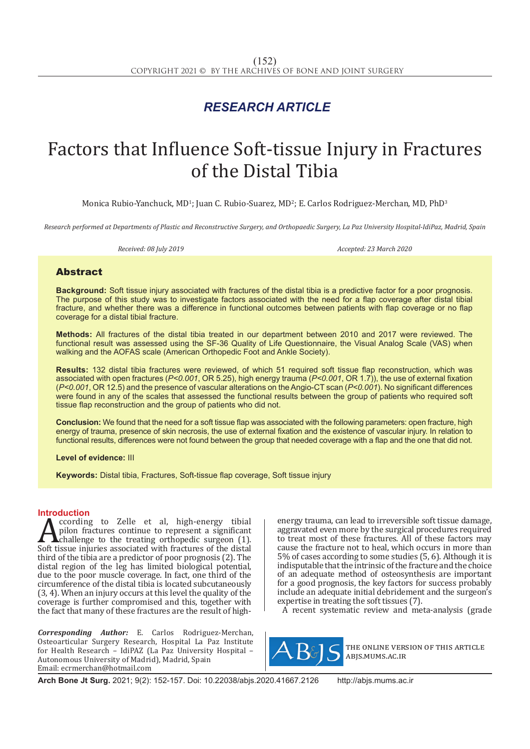## *RESEARCH ARTICLE*

# Factors that Influence Soft-tissue Injury in Fractures of the Distal Tibia

Monica Rubio-Yanchuck, MD<sup>1</sup>; Juan C. Rubio-Suarez, MD<sup>2</sup>; E. Carlos Rodriguez-Merchan, MD, PhD<sup>3</sup>

*Research performed at Departments of Plastic and Reconstructive Surgery, and Orthopaedic Surgery, La Paz University Hospital-IdiPaz, Madrid, Spain*

*Received: 08 July 2019 Accepted: 23 March 2020*

### Abstract

**Background:** Soft tissue injury associated with fractures of the distal tibia is a predictive factor for a poor prognosis. The purpose of this study was to investigate factors associated with the need for a flap coverage after distal tibial fracture, and whether there was a difference in functional outcomes between patients with flap coverage or no flap coverage for a distal tibial fracture.

**Methods:** All fractures of the distal tibia treated in our department between 2010 and 2017 were reviewed. The functional result was assessed using the SF-36 Quality of Life Questionnaire, the Visual Analog Scale (VAS) when walking and the AOFAS scale (American Orthopedic Foot and Ankle Society).

**Results:** 132 distal tibia fractures were reviewed, of which 51 required soft tissue flap reconstruction, which was associated with open fractures (*P<0.001*, OR 5.25), high energy trauma (*P<0.001*, OR 1.7)), the use of external fixation (*P<0.001*, OR 12.5) and the presence of vascular alterations on the Angio-CT scan (*P<0.001*). No significant differences were found in any of the scales that assessed the functional results between the group of patients who required soft tissue flap reconstruction and the group of patients who did not.

**Conclusion:** We found that the need for a soft tissue flap was associated with the following parameters: open fracture, high energy of trauma, presence of skin necrosis, the use of external fixation and the existence of vascular injury. In relation to functional results, differences were not found between the group that needed coverage with a flap and the one that did not.

**Level of evidence:** III

**Keywords:** Distal tibia, Fractures, Soft-tissue flap coverage, Soft tissue injury

**Introduction**<br>**A** ccording to Zelle et al, high-energy tibial **Anally Example 19** Cording to Zelle et al, high-energy tibial pilon fractures continue to represent a significant challenge to the treating orthopedic surgeon (1). Soft tissue injuries associated with fractures of the dis pilon fractures continue to represent a significant challenge to the treating orthopedic surgeon (1). third of the tibia are a predictor of poor prognosis (2). The distal region of the leg has limited biological potential, due to the poor muscle coverage. In fact, one third of the circumference of the distal tibia is located subcutaneously (3, 4). When an injury occurs at this level the quality of the coverage is further compromised and this, together with the fact that many of these fractures are the result of high-

*Corresponding Author:* E. Carlos Rodriguez-Merchan, Osteoarticular Surgery Research, Hospital La Paz Institute for Health Research – IdiPAZ (La Paz University Hospital – Autonomous University of Madrid), Madrid, Spain Email: ecrmerchan@hotmail.com

energy trauma, can lead to irreversible soft tissue damage, aggravated even more by the surgical procedures required to treat most of these fractures. All of these factors may cause the fracture not to heal, which occurs in more than 5% of cases according to some studies (5, 6). Although it is indisputable that the intrinsic of the fracture and the choice of an adequate method of osteosynthesis are important for a good prognosis, the key factors for success probably include an adequate initial debridement and the surgeon's expertise in treating the soft tissues (7).

A recent systematic review and meta-analysis (grade



the online version of this article abjs.mums.ac.ir

**Arch Bone Jt Surg.** 2021; 9(2): 152-157. Doi: 10.22038/abjs.2020.41667.2126 http://abjs.mums.ac.ir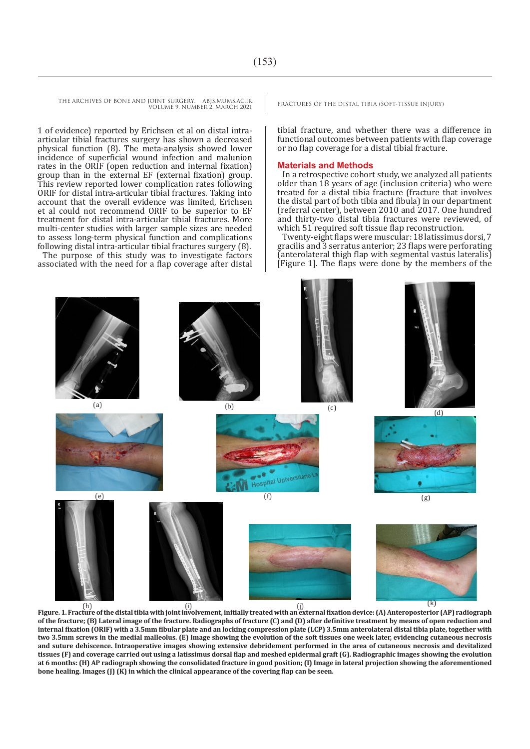THE ARCHIVES OF BONE AND JOINT SURGERY. ABJS.MUMS.AC.IR FRACTURES OF THE DISTAL TIBIA (SOFT-TISSUE INJURY) VOLUME 9. NUMBER 2. MARCH 2021

1 of evidence) reported by Erichsen et al on distal intraarticular tibial fractures surgery has shown a decreased physical function (8). The meta-analysis showed lower incidence of superficial wound infection and malunion rates in the ORIF (open reduction and internal fixation) group than in the external EF (external fixation) group. This review reported lower complication rates following ORIF for distal intra-articular tibial fractures. Taking into account that the overall evidence was limited, Erichsen et al could not recommend ORIF to be superior to EF treatment for distal intra-articular tibial fractures. More multi-center studies with larger sample sizes are needed to assess long-term physical function and complications following distal intra-articular tibial fractures surgery (8). The purpose of this study was to investigate factors associated with the need for a flap coverage after distal

tibial fracture, and whether there was a difference in functional outcomes between patients with flap coverage or no flap coverage for a distal tibial fracture.

#### **Materials and Methods**

In a retrospective cohort study, we analyzed all patients older than 18 years of age (inclusion criteria) who were treated for a distal tibia fracture (fracture that involves the distal part of both tibia and fibula) in our department (referral center), between 2010 and 2017. One hundred and thirty-two distal tibia fractures were reviewed, of which 51 required soft tissue flap reconstruction.

Twenty-eight flaps were muscular: 18 latissimus dorsi, 7 gracilis and 3 serratus anterior; 23 flaps were perforating (anterolateral thigh flap with segmental vastus lateralis) [Figure 1]. The flaps were done by the members of the

(a)  $(b)$  (c)  $(d)$ Hospital Universiti (e)  $(f)$  (g)  $(g)$ h) (k)<br>Figure. 1. Fracture of the distal tibia with joint involvement, initially treated with an external fixation device: (A) Anteroposterior (AP) radiograph **of the fracture; (B) Lateral image of the fracture. Radiographs of fracture (C) and (D) after definitive treatment by means of open reduction and** 

**internal fixation (ORIF) with a 3.5mm fibular plate and an locking compression plate (LCP) 3.5mm anterolateral distal tibia plate, together with two 3.5mm screws in the medial malleolus. (E) Image showing the evolution of the soft tissues one week later, evidencing cutaneous necrosis and suture dehiscence. Intraoperative images showing extensive debridement performed in the area of cutaneous necrosis and devitalized tissues (F) and coverage carried out using a latissimus dorsal flap and meshed epidermal graft (G). Radiographic images showing the evolution at 6 months: (H) AP radiograph showing the consolidated fracture in good position; (I) Image in lateral projection showing the aforementioned bone healing. Images (J) (K) in which the clinical appearance of the covering flap can be seen.**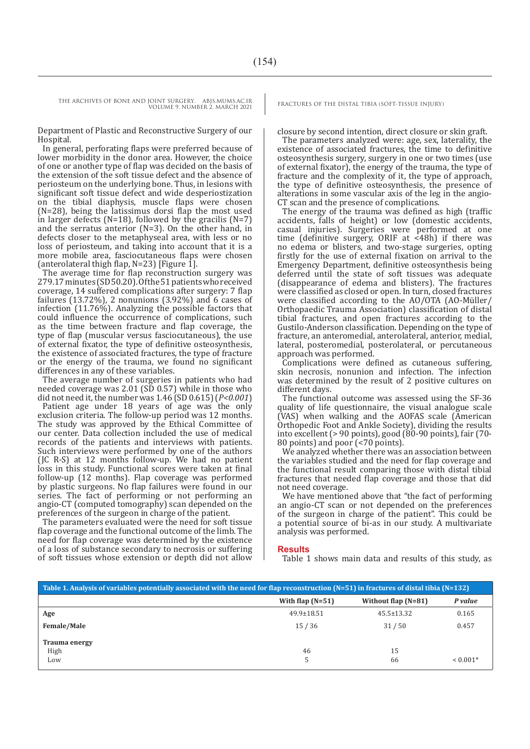VOLUME 9. NUMBER 2. MARCH 2021

Department of Plastic and Reconstructive Surgery of our Hospital.

In general, perforating flaps were preferred because of lower morbidity in the donor area. However, the choice of one or another type of flap was decided on the basis of the extension of the soft tissue defect and the absence of periosteum on the underlying bone. Thus, in lesions with significant soft tissue defect and wide desperiostization on the tibial diaphysis, muscle flaps were chosen (N=28), being the latissimus dorsi flap the most used in larger defects ( $N=18$ ), followed by the gracilis ( $N=7$ ) and the serratus anterior (N=3). On the other hand, in defects closer to the metaphyseal area, with less or no loss of periosteum, and taking into account that it is a more mobile area, fasciocutaneous flaps were chosen (anterolateral thigh flap, N=23) [Figure 1].

The average time for flap reconstruction surgery was 279.17 minutes (SD 50.20). Of the 51 patients who received coverage, 14 suffered complications after surgery: 7 flap failures (13.72%), 2 nonunions (3.92%) and 6 cases of infection (11.76%). Analyzing the possible factors that could influence the occurrence of complications, such as the time between fracture and flap coverage, the type of flap (muscular versus fasciocutaneous), the use of external fixator, the type of definitive osteosynthesis, the existence of associated fractures, the type of fracture or the energy of the trauma, we found no significant differences in any of these variables.

The average number of surgeries in patients who had needed coverage was 2.01 (SD 0.57) while in those who did not need it, the number was 1.46 (SD 0.615) (*P<0.001*) Patient age under 18 years of age was the only exclusion criteria. The follow-up period was 12 months. The study was approved by the Ethical Committee of our center. Data collection included the use of medical records of the patients and interviews with patients. Such interviews were performed by one of the authors (JC R-S) at 12 months follow-up. We had no patient loss in this study. Functional scores were taken at final follow-up (12 months). Flap coverage was performed by plastic surgeons. No flap failures were found in our series. The fact of performing or not performing an angio-CT (computed tomography) scan depended on the preferences of the surgeon in charge of the patient.

The parameters evaluated were the need for soft tissue flap coverage and the functional outcome of the limb. The need for flap coverage was determined by the existence of a loss of substance secondary to necrosis or suffering of soft tissues whose extension or depth did not allow

closure by second intention, direct closure or skin graft.

The parameters analyzed were: age, sex, laterality, the existence of associated fractures, the time to definitive osteosynthesis surgery, surgery in one or two times (use of external fixator), the energy of the trauma, the type of fracture and the complexity of it, the type of approach, the type of definitive osteosynthesis, the presence of alterations in some vascular axis of the leg in the angio-CT scan and the presence of complications.

The energy of the trauma was defined as high (traffic accidents, falls of height) or low (domestic accidents, casual injuries). Surgeries were performed at one time (definitive surgery, ORIF at <48h) if there was no edema or blisters, and two-stage surgeries, opting firstly for the use of external fixation on arrival to the Emergency Department, definitive osteosynthesis being deferred until the state of soft tissues was adequate (disappearance of edema and blisters). The fractures were classified as closed or open. In turn, closed fractures were classified according to the AO/OTA (AO-Müller/ Orthopaedic Trauma Association) classification of distal tibial fractures, and open fractures according to the Gustilo-Anderson classification. Depending on the type of fracture, an anteromedial, anterolateral, anterior, medial, lateral, posteromedial, posterolateral, or percutaneous approach was performed.

Complications were defined as cutaneous suffering, skin necrosis, nonunion and infection. The infection was determined by the result of 2 positive cultures on different days.

The functional outcome was assessed using the SF-36 quality of life questionnaire, the visual analogue scale (VAS) when walking and the AOFAS scale (American Orthopedic Foot and Ankle Society), dividing the results into excellent (> 90 points), good (80-90 points), fair (70- 80 points) and poor  $\left( < 70 \right)$  points).

We analyzed whether there was an association between the variables studied and the need for flap coverage and the functional result comparing those with distal tibial fractures that needed flap coverage and those that did not need coverage.

We have mentioned above that "the fact of performing an angio-CT scan or not depended on the preferences of the surgeon in charge of the patient". This could be a potential source of bi-as in our study. A multivariate analysis was performed.

#### **Results**

Table 1 shows main data and results of this study, as

| Table 1. Analysis of variables potentially associated with the need for flap reconstruction $(N=51)$ in fractures of distal tibia $(N=132)$ |                    |                       |            |  |
|---------------------------------------------------------------------------------------------------------------------------------------------|--------------------|-----------------------|------------|--|
|                                                                                                                                             | With flap $(N=51)$ | Without flap $(N=81)$ | P value    |  |
| Age                                                                                                                                         | $49.9 \pm 18.51$   | $45.5 \pm 13.32$      | 0.165      |  |
| <b>Female/Male</b>                                                                                                                          | 15/36              | 31/50                 | 0.457      |  |
| <b>Trauma energy</b>                                                                                                                        |                    |                       |            |  |
| High                                                                                                                                        | 46                 | 15                    |            |  |
| Low                                                                                                                                         | 5                  | 66                    | $< 0.001*$ |  |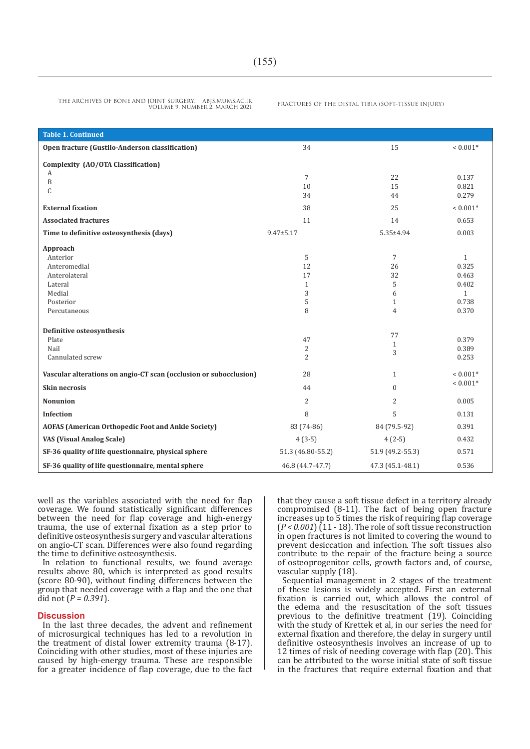THE ARCHIVES OF BONE AND JOINT SURGERY. ABJS.MUMS.AC.IR<br>VOUME Q MUMPER 2 MARCH 2021 VOLUME 9. NUMBER 2. MARCH 2021

| <b>Table 1. Continued</b>                                         |                      |                  |                |
|-------------------------------------------------------------------|----------------------|------------------|----------------|
| Open fracture (Gustilo-Anderson classification)                   | 34                   | 15               | $< 0.001*$     |
| Complexity (AO/OTA Classification)                                |                      |                  |                |
| А                                                                 |                      |                  |                |
| $\, {\bf B}$                                                      | $\overline{7}$<br>10 | 22<br>15         | 0.137<br>0.821 |
| C                                                                 | 34                   | 44               | 0.279          |
| <b>External fixation</b>                                          | 38                   | 25               | $< 0.001*$     |
| <b>Associated fractures</b>                                       | 11                   | 14               | 0.653          |
|                                                                   |                      |                  |                |
| Time to definitive osteosynthesis (days)                          | $9.47 \pm 5.17$      | 5.35±4.94        | 0.003          |
| Approach                                                          |                      |                  |                |
| Anterior                                                          | 5                    | $\overline{7}$   | $\mathbf{1}$   |
| Anteromedial                                                      | 12                   | 26               | 0.325          |
| Anterolateral                                                     | 17                   | 32               | 0.463          |
| Lateral                                                           | $\mathbf{1}$         | 5                | 0.402          |
| Medial                                                            | 3                    | 6                | $\mathbf{1}$   |
| Posterior                                                         | 5                    | $\mathbf{1}$     | 0.738          |
| Percutaneous                                                      | 8                    | $\overline{4}$   | 0.370          |
| Definitive osteosynthesis                                         |                      |                  |                |
| Plate                                                             | 47                   | 77               | 0.379          |
| Nail                                                              | 2                    | $\mathbf{1}$     | 0.389          |
| Cannulated screw                                                  | $\overline{2}$       | 3                | 0.253          |
| Vascular alterations on angio-CT scan (occlusion or subocclusion) | 28                   | $\mathbf{1}$     | $< 0.001*$     |
| <b>Skin necrosis</b>                                              | 44                   | $\Omega$         | $< 0.001*$     |
| <b>Nonunion</b>                                                   | $\overline{2}$       | $\overline{2}$   | 0.005          |
| <b>Infection</b>                                                  | 8                    | 5                | 0.131          |
| <b>AOFAS (American Orthopedic Foot and Ankle Society)</b>         | 83 (74-86)           | 84 (79.5-92)     | 0.391          |
| <b>VAS (Visual Analog Scale)</b>                                  | $4(3-5)$             | $4(2-5)$         | 0.432          |
| SF-36 quality of life questionnaire, physical sphere              | 51.3 (46.80-55.2)    | 51.9 (49.2-55.3) | 0.571          |
| SF-36 quality of life questionnaire, mental sphere                | 46.8 (44.7-47.7)     | 47.3 (45.1-48.1) | 0.536          |

well as the variables associated with the need for flap coverage. We found statistically significant differences between the need for flap coverage and high-energy trauma, the use of external fixation as a step prior to definitive osteosynthesis surgery and vascular alterations on angio-CT scan. Differences were also found regarding the time to definitive osteosynthesis.

In relation to functional results, we found average results above 80, which is interpreted as good results (score 80-90), without finding differences between the group that needed coverage with a flap and the one that did not (*P = 0.391*).

#### **Discussion**

In the last three decades, the advent and refinement of microsurgical techniques has led to a revolution in the treatment of distal lower extremity trauma (8-17). Coinciding with other studies, most of these injuries are caused by high-energy trauma. These are responsible for a greater incidence of flap coverage, due to the fact that they cause a soft tissue defect in a territory already compromised (8-11). The fact of being open fracture increases up to 5 times the risk of requiring flap coverage (*P < 0.001*) (11 - 18). The role of soft tissue reconstruction in open fractures is not limited to covering the wound to prevent desiccation and infection. The soft tissues also contribute to the repair of the fracture being a source of osteoprogenitor cells, growth factors and, of course, vascular supply (18).

Sequential management in 2 stages of the treatment of these lesions is widely accepted. First an external fixation is carried out, which allows the control of the edema and the resuscitation of the soft tissues previous to the definitive treatment (19). Coinciding with the study of Krettek et al, in our series the need for external fixation and therefore, the delay in surgery until definitive osteosynthesis involves an increase of up to 12 times of risk of needing coverage with flap (20). This can be attributed to the worse initial state of soft tissue in the fractures that require external fixation and that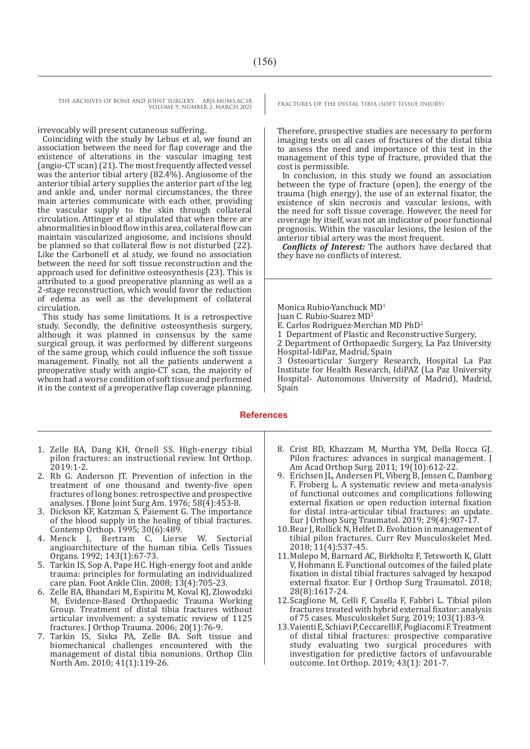THE ARCHIVES OF BONE AND JOINT SURGERY. ABJS.MUMS.AC.IR FRACTURES OF THE DISTAL TIBIA (SOFT-TISSUE INJURY) VOLUME 9. NUMBER 2. MARCH 2021

irrevocably will present cutaneous suffering.

Coinciding with the study by Lebus et al, we found an association between the need for flap coverage and the existence of alterations in the vascular imaging test (angio-CT scan) (21). The most frequently affected vessel was the anterior tibial artery (82.4%). Angiosome of the anterior tibial artery supplies the anterior part of the leg and ankle and, under normal circumstances, the three main arteries communicate with each other, providing the vascular supply to the skin through collateral circulation. Attinger et al stipulated that when there are abnormalities in blood flow in this area, collateral flow can maintain vascularized angiosome, and incisions should be planned so that collateral flow is not disturbed (22). Like the Carbonell et al study, we found no association between the need for soft tissue reconstruction and the approach used for definitive osteosynthesis (23). This is attributed to a good preoperative planning as well as a 2-stage reconstruction, which would favor the reduction of edema as well as the development of collateral circulation.

This study has some limitations. It is a retrospective study. Secondly, the definitive osteosynthesis surgery, although it was planned in consensus by the same surgical group, it was performed by different surgeons of the same group, which could influence the soft tissue management. Finally, not all the patients underwent a preoperative study with angio-CT scan, the majority of whom had a worse condition of soft tissue and performed it in the context of a preoperative flap coverage planning.

Therefore, prospective studies are necessary to perform imaging tests on all cases of fractures of the distal tibia to assess the need and importance of this test in the management of this type of fracture, provided that the cost is permissible.

In conclusion, in this study we found an association between the type of fracture (open), the energy of the trauma (high energy), the use of an external fixator, the existence of skin necrosis and vascular lesions, with the need for soft tissue coverage. However, the need for coverage by itself, was not an indicator of poor functional prognosis. Within the vascular lesions, the lesion of the anterior tibial artery was the most frequent.

*Conflicts of Interest:* The authors have declared that they have no conflicts of interest.

Monica Rubio-Yanchuck MD<sup>1</sup> Juan C. Rubio-Suarez MD2 E. Carlos Rodriguez-Merchan MD PhD2 1 Department of Plastic and Reconstructive Surgery, 2 Department of Orthopaedic Surgery, La Paz University Hospital-IdiPaz, Madrid, Spain 3 Osteoarticular Surgery Research, Hospital La Paz Institute for Health Research, IdiPAZ (La Paz University Hospital- Autonomous University of Madrid), Madrid, Spain

#### **References**

- 1. Zelle BA, Dang KH, Ornell SS. High-energy tibial pilon fractures: an instructional review. Int Orthop. 2019:1-2.
- 2. Rb G. Anderson JT. Prevention of infection in the treatment of one thousand and twenty-five open fractures of long bones: retrospective and prospective analyses. J Bone Joint Surg Am. 1976; 58(4):453-8.
- 3. Dickson KF, Katzman S, Paiement G. The importance of the blood supply in the healing of tibial fractures. Contemp Orthop. 1995; 30(6):489.<br>4. Menck I. Bertram C. Liers
- J, Bertram C, Lierse W. Sectorial angioarchitecture of the human tibia. Cells Tissues Organs. 1992; 143(1):67-73.
- 5. Tarkin IS, Sop A, Pape HC. High-energy foot and ankle trauma: principles for formulating an individualized care plan. Foot Ankle Clin. 2008; 13(4):705-23.
- 6. Zelle BA, Bhandari M, Espiritu M, Koval KJ, Zlowodzki M, Evidence-Based Orthopaedic Trauma Working Group. Treatment of distal tibia fractures without articular involvement: a systematic review of 1125 fractures. J Orthop Trauma. 2006; 20(1):76-9.
- 7. Tarkin IS, Siska PA, Zelle BA. Soft tissue and biomechanical challenges encountered with the management of distal tibia nonunions. Orthop Clin North Am. 2010; 41(1):119-26.
- 8. Crist BD, Khazzam M, Murtha YM, Della Rocca GJ. Pilon fractures: advances in surgical management. J Am Acad Orthop Surg. 2011; 19(10):612-22.
- 9. Erichsen JL, Andersen PI, Viberg B, Jensen C, Damborg F, Froberg L. A systematic review and meta-analysis of functional outcomes and complications following external fixation or open reduction internal fixation for distal intra-articular tibial fractures: an update. Eur J Orthop Surg Traumatol. 2019; 29(4):907-17.
- 10.Bear J, Rollick N, Helfet D. Evolution in management of tibial pilon fractures. Curr Rev Musculoskelet Med. 2018; 11(4):537-45.
- 11.Molepo M, Barnard AC, Birkholtz F, Tetsworth K, Glatt V, Hohmann E. Functional outcomes of the failed plate fixation in distal tibial fractures salvaged by hexapod external fixator. Eur J Orthop Surg Traumatol. 2018; 28(8):1617-24.
- 12.Scaglione M, Celli F, Casella F, Fabbri L. Tibial pilon fractures treated with hybrid external fixator: analysis of 75 cases. Musculoskelet Surg. 2019; 103(1):83-9.
- 13.Vaienti E, Schiavi P, Ceccarelli F, Pogliacomi F. Treatment of distal tibial fractures: prospective comparative study evaluating two surgical procedures with investigation for predictive factors of unfavourable outcome. Int Orthop. 2019; 43(1): 201-7.